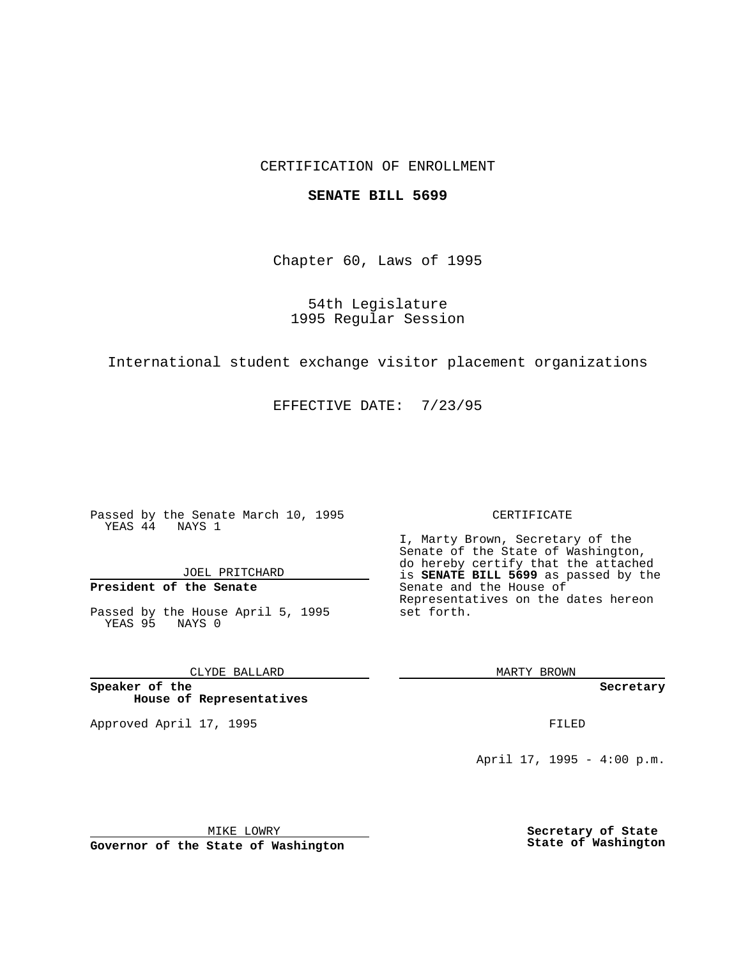### CERTIFICATION OF ENROLLMENT

#### **SENATE BILL 5699**

Chapter 60, Laws of 1995

54th Legislature 1995 Regular Session

International student exchange visitor placement organizations

EFFECTIVE DATE: 7/23/95

Passed by the Senate March 10, 1995 YEAS 44 NAYS 1

JOEL PRITCHARD

## **President of the Senate**

Passed by the House April 5, 1995 YEAS 95 NAYS 0

CLYDE BALLARD

**Speaker of the House of Representatives**

Approved April 17, 1995 **FILED** 

#### CERTIFICATE

I, Marty Brown, Secretary of the Senate of the State of Washington, do hereby certify that the attached is **SENATE BILL 5699** as passed by the Senate and the House of Representatives on the dates hereon set forth.

MARTY BROWN

**Secretary**

April 17, 1995 - 4:00 p.m.

MIKE LOWRY **Governor of the State of Washington** **Secretary of State State of Washington**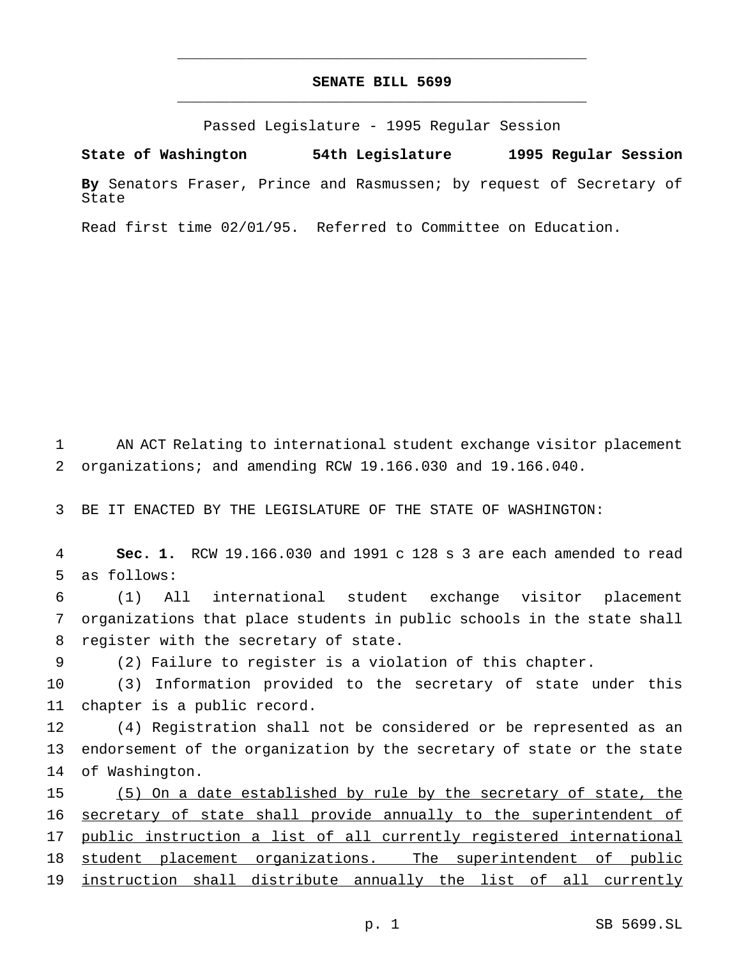# **SENATE BILL 5699** \_\_\_\_\_\_\_\_\_\_\_\_\_\_\_\_\_\_\_\_\_\_\_\_\_\_\_\_\_\_\_\_\_\_\_\_\_\_\_\_\_\_\_\_\_\_\_

\_\_\_\_\_\_\_\_\_\_\_\_\_\_\_\_\_\_\_\_\_\_\_\_\_\_\_\_\_\_\_\_\_\_\_\_\_\_\_\_\_\_\_\_\_\_\_

Passed Legislature - 1995 Regular Session

**State of Washington 54th Legislature 1995 Regular Session**

**By** Senators Fraser, Prince and Rasmussen; by request of Secretary of State

Read first time 02/01/95. Referred to Committee on Education.

1 AN ACT Relating to international student exchange visitor placement 2 organizations; and amending RCW 19.166.030 and 19.166.040.

3 BE IT ENACTED BY THE LEGISLATURE OF THE STATE OF WASHINGTON:

4 **Sec. 1.** RCW 19.166.030 and 1991 c 128 s 3 are each amended to read 5 as follows:

6 (1) All international student exchange visitor placement 7 organizations that place students in public schools in the state shall 8 register with the secretary of state.

9 (2) Failure to register is a violation of this chapter.

10 (3) Information provided to the secretary of state under this 11 chapter is a public record.

12 (4) Registration shall not be considered or be represented as an 13 endorsement of the organization by the secretary of state or the state 14 of Washington.

15 (5) On a date established by rule by the secretary of state, the 16 secretary of state shall provide annually to the superintendent of 17 public instruction a list of all currently registered international 18 student placement organizations. The superintendent of public 19 instruction shall distribute annually the list of all currently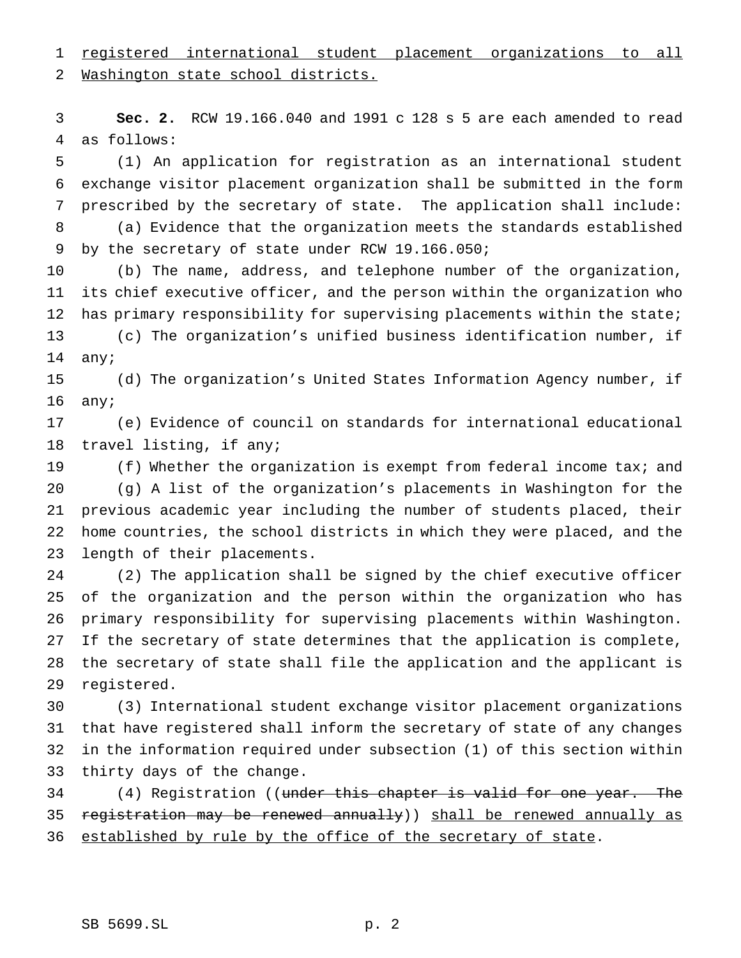registered international student placement organizations to all

Washington state school districts.

 **Sec. 2.** RCW 19.166.040 and 1991 c 128 s 5 are each amended to read as follows:

 (1) An application for registration as an international student exchange visitor placement organization shall be submitted in the form prescribed by the secretary of state. The application shall include: (a) Evidence that the organization meets the standards established

by the secretary of state under RCW 19.166.050;

 (b) The name, address, and telephone number of the organization, its chief executive officer, and the person within the organization who 12 has primary responsibility for supervising placements within the state; (c) The organization's unified business identification number, if any;

 (d) The organization's United States Information Agency number, if any;

 (e) Evidence of council on standards for international educational travel listing, if any;

 (f) Whether the organization is exempt from federal income tax; and (g) A list of the organization's placements in Washington for the previous academic year including the number of students placed, their home countries, the school districts in which they were placed, and the length of their placements.

 (2) The application shall be signed by the chief executive officer of the organization and the person within the organization who has primary responsibility for supervising placements within Washington. If the secretary of state determines that the application is complete, the secretary of state shall file the application and the applicant is registered.

 (3) International student exchange visitor placement organizations that have registered shall inform the secretary of state of any changes in the information required under subsection (1) of this section within thirty days of the change.

34 (4) Registration ((under this chapter is valid for one year. The 35 registration may be renewed annually)) shall be renewed annually as 36 established by rule by the office of the secretary of state.